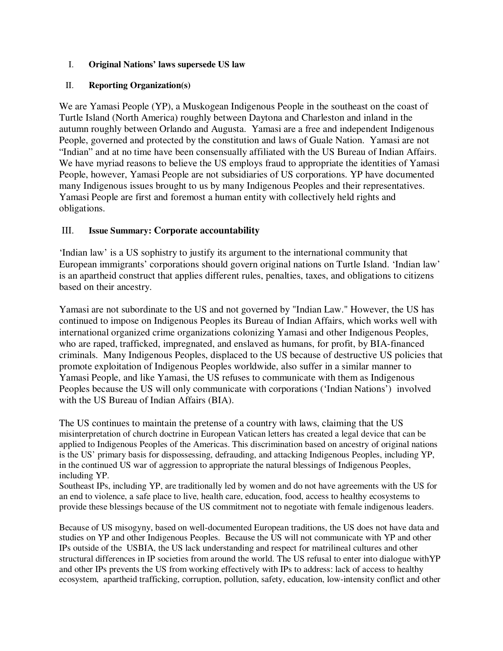### I. **Original Nations' laws supersede US law**

### II. **Reporting Organization(s)**

We are Yamasi People (YP), a Muskogean Indigenous People in the southeast on the coast of Turtle Island (North America) roughly between Daytona and Charleston and inland in the autumn roughly between Orlando and Augusta. Yamasi are a free and independent Indigenous People, governed and protected by the constitution and laws of Guale Nation. Yamasi are not "Indian" and at no time have been consensually affiliated with the US Bureau of Indian Affairs. We have myriad reasons to believe the US employs fraud to appropriate the identities of Yamasi People, however, Yamasi People are not subsidiaries of US corporations. YP have documented many Indigenous issues brought to us by many Indigenous Peoples and their representatives. Yamasi People are first and foremost a human entity with collectively held rights and obligations.

# III. **Issue Summary: Corporate accountability**

'Indian law' is a US sophistry to justify its argument to the international community that European immigrants' corporations should govern original nations on Turtle Island. 'Indian law' is an apartheid construct that applies different rules, penalties, taxes, and obligations to citizens based on their ancestry.

Yamasi are not subordinate to the US and not governed by "Indian Law." However, the US has continued to impose on Indigenous Peoples its Bureau of Indian Affairs, which works well with international organized crime organizations colonizing Yamasi and other Indigenous Peoples, who are raped, trafficked, impregnated, and enslaved as humans, for profit, by BIA-financed criminals. Many Indigenous Peoples, displaced to the US because of destructive US policies that promote exploitation of Indigenous Peoples worldwide, also suffer in a similar manner to Yamasi People, and like Yamasi, the US refuses to communicate with them as Indigenous Peoples because the US will only communicate with corporations ('Indian Nations') involved with the US Bureau of Indian Affairs (BIA).

The US continues to maintain the pretense of a country with laws, claiming that the US misinterpretation of church doctrine in European Vatican letters has created a legal device that can be applied to Indigenous Peoples of the Americas. This discrimination based on ancestry of original nations is the US' primary basis for dispossessing, defrauding, and attacking Indigenous Peoples, including YP, in the continued US war of aggression to appropriate the natural blessings of Indigenous Peoples, including YP.

Southeast IPs, including YP, are traditionally led by women and do not have agreements with the US for an end to violence, a safe place to live, health care, education, food, access to healthy ecosystems to provide these blessings because of the US commitment not to negotiate with female indigenous leaders.

Because of US misogyny, based on well-documented European traditions, the US does not have data and studies on YP and other Indigenous Peoples. Because the US will not communicate with YP and other IPs outside of the USBIA, the US lack understanding and respect for matrilineal cultures and other structural differences in IP societies from around the world. The US refusal to enter into dialogue withYP and other IPs prevents the US from working effectively with IPs to address: lack of access to healthy ecosystem, apartheid trafficking, corruption, pollution, safety, education, low-intensity conflict and other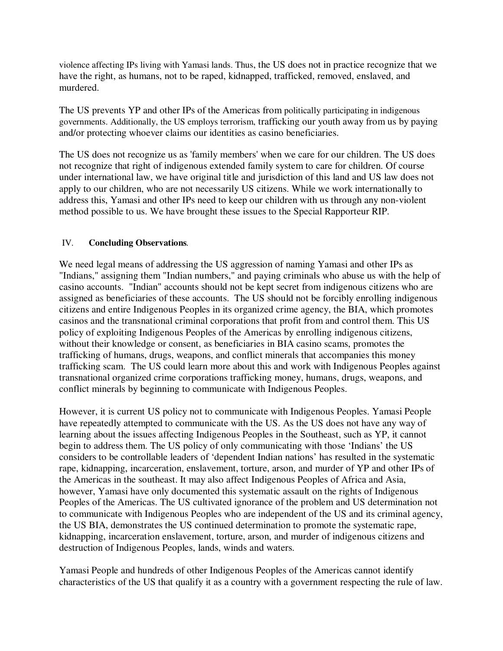violence affecting IPs living with Yamasi lands. Thus, the US does not in practice recognize that we have the right, as humans, not to be raped, kidnapped, trafficked, removed, enslaved, and murdered.

The US prevents YP and other IPs of the Americas from politically participating in indigenous governments. Additionally, the US employs terrorism, trafficking our youth away from us by paying and/or protecting whoever claims our identities as casino beneficiaries.

The US does not recognize us as 'family members' when we care for our children. The US does not recognize that right of indigenous extended family system to care for children. Of course under international law, we have original title and jurisdiction of this land and US law does not apply to our children, who are not necessarily US citizens. While we work internationally to address this, Yamasi and other IPs need to keep our children with us through any non-violent method possible to us. We have brought these issues to the Special Rapporteur RIP.

### IV. **Concluding Observations***.*

We need legal means of addressing the US aggression of naming Yamasi and other IPs as "Indians," assigning them "Indian numbers," and paying criminals who abuse us with the help of casino accounts. "Indian" accounts should not be kept secret from indigenous citizens who are assigned as beneficiaries of these accounts. The US should not be forcibly enrolling indigenous citizens and entire Indigenous Peoples in its organized crime agency, the BIA, which promotes casinos and the transnational criminal corporations that profit from and control them. This US policy of exploiting Indigenous Peoples of the Americas by enrolling indigenous citizens, without their knowledge or consent, as beneficiaries in BIA casino scams, promotes the trafficking of humans, drugs, weapons, and conflict minerals that accompanies this money trafficking scam. The US could learn more about this and work with Indigenous Peoples against transnational organized crime corporations trafficking money, humans, drugs, weapons, and conflict minerals by beginning to communicate with Indigenous Peoples.

However, it is current US policy not to communicate with Indigenous Peoples. Yamasi People have repeatedly attempted to communicate with the US. As the US does not have any way of learning about the issues affecting Indigenous Peoples in the Southeast, such as YP, it cannot begin to address them. The US policy of only communicating with those 'Indians' the US considers to be controllable leaders of 'dependent Indian nations' has resulted in the systematic rape, kidnapping, incarceration, enslavement, torture, arson, and murder of YP and other IPs of the Americas in the southeast. It may also affect Indigenous Peoples of Africa and Asia, however, Yamasi have only documented this systematic assault on the rights of Indigenous Peoples of the Americas. The US cultivated ignorance of the problem and US determination not to communicate with Indigenous Peoples who are independent of the US and its criminal agency, the US BIA, demonstrates the US continued determination to promote the systematic rape, kidnapping, incarceration enslavement, torture, arson, and murder of indigenous citizens and destruction of Indigenous Peoples, lands, winds and waters.

Yamasi People and hundreds of other Indigenous Peoples of the Americas cannot identify characteristics of the US that qualify it as a country with a government respecting the rule of law.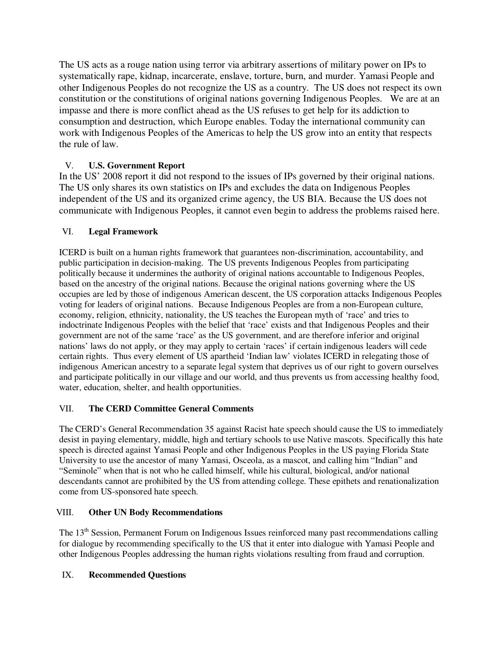The US acts as a rouge nation using terror via arbitrary assertions of military power on IPs to systematically rape, kidnap, incarcerate, enslave, torture, burn, and murder. Yamasi People and other Indigenous Peoples do not recognize the US as a country. The US does not respect its own constitution or the constitutions of original nations governing Indigenous Peoples. We are at an impasse and there is more conflict ahead as the US refuses to get help for its addiction to consumption and destruction, which Europe enables. Today the international community can work with Indigenous Peoples of the Americas to help the US grow into an entity that respects the rule of law.

# V. **U.S. Government Report**

In the US' 2008 report it did not respond to the issues of IPs governed by their original nations. The US only shares its own statistics on IPs and excludes the data on Indigenous Peoples independent of the US and its organized crime agency, the US BIA. Because the US does not communicate with Indigenous Peoples, it cannot even begin to address the problems raised here.

### VI. **Legal Framework**

ICERD is built on a human rights framework that guarantees non-discrimination, accountability, and public participation in decision-making. The US prevents Indigenous Peoples from participating politically because it undermines the authority of original nations accountable to Indigenous Peoples, based on the ancestry of the original nations. Because the original nations governing where the US occupies are led by those of indigenous American descent, the US corporation attacks Indigenous Peoples voting for leaders of original nations. Because Indigenous Peoples are from a non-European culture, economy, religion, ethnicity, nationality, the US teaches the European myth of 'race' and tries to indoctrinate Indigenous Peoples with the belief that 'race' exists and that Indigenous Peoples and their government are not of the same 'race' as the US government, and are therefore inferior and original nations' laws do not apply, or they may apply to certain 'races' if certain indigenous leaders will cede certain rights. Thus every element of US apartheid 'Indian law' violates ICERD in relegating those of indigenous American ancestry to a separate legal system that deprives us of our right to govern ourselves and participate politically in our village and our world, and thus prevents us from accessing healthy food, water, education, shelter, and health opportunities.

### VII. **The CERD Committee General Comments**

The CERD's General Recommendation 35 against Racist hate speech should cause the US to immediately desist in paying elementary, middle, high and tertiary schools to use Native mascots. Specifically this hate speech is directed against Yamasi People and other Indigenous Peoples in the US paying Florida State University to use the ancestor of many Yamasi, Osceola, as a mascot, and calling him "Indian" and "Seminole" when that is not who he called himself, while his cultural, biological, and/or national descendants cannot are prohibited by the US from attending college. These epithets and renationalization come from US-sponsored hate speech.

### VIII. **Other UN Body Recommendations**

The 13<sup>th</sup> Session, Permanent Forum on Indigenous Issues reinforced many past recommendations calling for dialogue by recommending specifically to the US that it enter into dialogue with Yamasi People and other Indigenous Peoples addressing the human rights violations resulting from fraud and corruption.

### IX. **Recommended Questions**